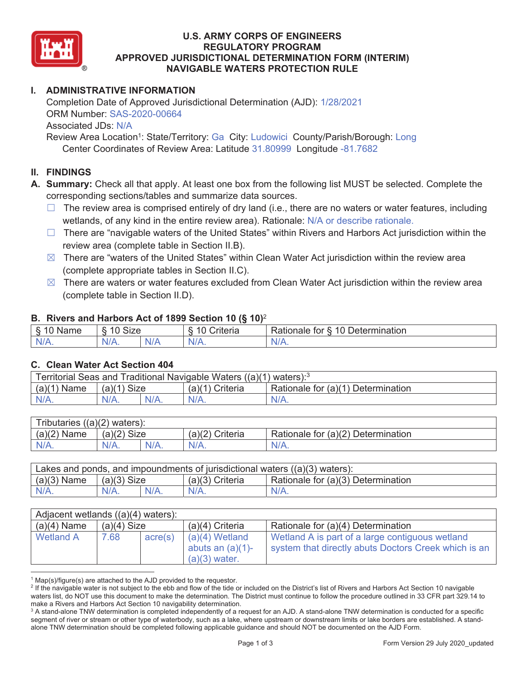

### **U.S. ARMY CORPS OF ENGINEERS REGULATORY PROGRAM APPROVED JURISDICTIONAL DETERMINATION FORM (INTERIM) NAVIGABLE WATERS PROTECTION RULE**

# **I. ADMINISTRATIVE INFORMATION**

Completion Date of Approved Jurisdictional Determination (AJD):  $1/28/2021$ ORM Number: SAS-2020-00664 Associated JDs: N/A Review Area Location<sup>1</sup>: State/Territory: Ga City: Ludowici County/Parish/Borough: Long

Center Coordinates of Review Area: Latitude 31.80999 Longitude -81.7682

### **II. FINDINGS**

**A. Summary:** Check all that apply. At least one box from the following list MUST be selected. Complete the corresponding sections/tables and summarize data sources.

- $\Box$  The review area is comprised entirely of dry land (i.e., there are no waters or water features, including wetlands, of any kind in the entire review area). Rationale: N/A or describe rationale.
- $\Box$  There are "navigable waters of the United States" within Rivers and Harbors Act jurisdiction within the review area (complete table in Section II.B).
- $\boxtimes$  There are "waters of the United States" within Clean Water Act jurisdiction within the review area (complete appropriate tables in Section II.C).
- $\boxtimes$  There are waters or water features excluded from Clean Water Act jurisdiction within the review area (complete table in Section II.D).

#### **B. Rivers and Harbors Act of 1899 Section 10 (§ 10)**<sup>2</sup>

| . .                                     |                                   |              |                                 |                                                             |  |  |
|-----------------------------------------|-----------------------------------|--------------|---------------------------------|-------------------------------------------------------------|--|--|
| δ.<br>$\sim$<br>`me<br>"Nar.<br>u<br>٠J | $\sim$<br>$\sqrt{2}$<br>Size<br>∼ |              | $\overline{A}$<br>`riteria<br>∼ | 10<br>∽<br>ermination?<br><b>Rationale</b><br>tor<br>Jeter' |  |  |
| N/A.                                    | $N/A$ .                           | 'N/ <i>F</i> | $N/A$ .                         | IN.<br>VLO.                                                 |  |  |

#### **C. Clean Water Act Section 404**

| Territorial Seas and Traditional Navigable Waters $((a)(1)$ waters): <sup>3</sup> |               |  |                 |                                    |  |  |
|-----------------------------------------------------------------------------------|---------------|--|-----------------|------------------------------------|--|--|
| $(a)(1)$ Name                                                                     | $(a)(1)$ Size |  | (a)(1) Criteria | Rationale for (a)(1) Determination |  |  |
| N/A.                                                                              | $N/A$ .       |  | $N/A$ .         | $N/A$ .                            |  |  |

| Tributaries $((a)(2)$ waters): |               |         |                 |                                    |  |  |
|--------------------------------|---------------|---------|-----------------|------------------------------------|--|--|
| $(a)(2)$ Name                  | $(a)(2)$ Size |         | (a)(2) Criteria | Rationale for (a)(2) Determination |  |  |
| $N/A$ .                        | N/A.          | $N/A$ . | $N/A$ .         | $N/A$ .                            |  |  |

| Lakes and ponds, and impoundments of jurisdictional waters $((a)(3)$ waters): |               |         |                   |                                    |  |  |
|-------------------------------------------------------------------------------|---------------|---------|-------------------|------------------------------------|--|--|
| $(a)(3)$ Name                                                                 | $(a)(3)$ Size |         | $(a)(3)$ Criteria | Rationale for (a)(3) Determination |  |  |
| $N/A$ .                                                                       | $N/A$ .       | $N/A$ . | $N/A$ .           | $N/A$ .                            |  |  |

| Adjacent wetlands $((a)(4)$ waters): |               |         |                                                            |                                                                                                         |  |  |
|--------------------------------------|---------------|---------|------------------------------------------------------------|---------------------------------------------------------------------------------------------------------|--|--|
| $(a)(4)$ Name                        | $(a)(4)$ Size |         | $(a)(4)$ Criteria                                          | Rationale for (a)(4) Determination                                                                      |  |  |
| Wetland A                            | 7.68          | acre(s) | $(a)(4)$ Wetland<br>abuts an $(a)(1)$ -<br>$(a)(3)$ water. | Wetland A is part of a large contiguous wetland<br>system that directly abuts Doctors Creek which is an |  |  |

 $1$  Map(s)/figure(s) are attached to the AJD provided to the requestor.

<sup>&</sup>lt;sup>2</sup> If the navigable water is not subject to the ebb and flow of the tide or included on the District's list of Rivers and Harbors Act Section 10 navigable waters list, do NOT use this document to make the determination. The District must continue to follow the procedure outlined in 33 CFR part 329.14 to make a Rivers and Harbors Act Section 10 navigability determination. 3

<sup>&</sup>lt;sup>3</sup> A stand-alone TNW determination is completed independently of a request for an AJD. A stand-alone TNW determination is conducted for a specific segment of river or stream or other type of waterbody, such as a lake, where upstream or downstream limits or lake borders are established. A standalone TNW determination should be completed following applicable guidance and should NOT be documented on the AJD Form.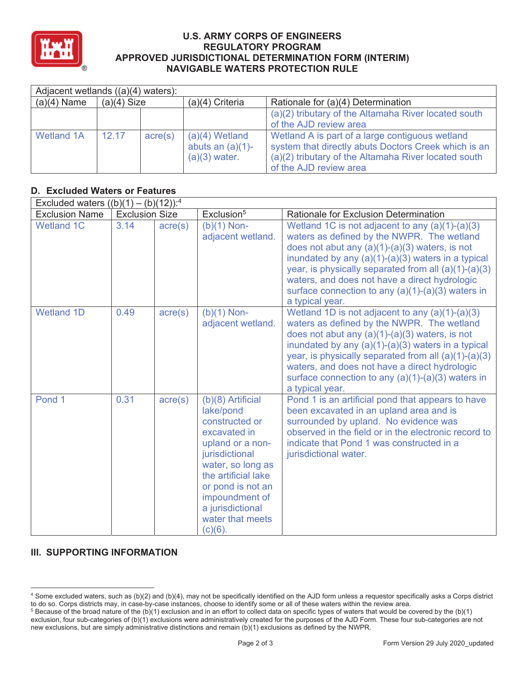

#### **U.S. ARMY CORPS OF ENGINEERS REGULATORY PROGRAM APPROVED JURISDICTIONAL DETERMINATION FORM (INTERIM) NAVIGABLE WATERS PROTECTION RULE**

| Adjacent wetlands $((a)(4)$ waters): |               |                  |                                                            |                                                                                                                                                                                           |  |  |
|--------------------------------------|---------------|------------------|------------------------------------------------------------|-------------------------------------------------------------------------------------------------------------------------------------------------------------------------------------------|--|--|
| $(a)(4)$ Name                        | $(a)(4)$ Size |                  | $(a)(4)$ Criteria                                          | Rationale for (a)(4) Determination                                                                                                                                                        |  |  |
|                                      |               |                  |                                                            | (a)(2) tributary of the Altamaha River located south<br>of the AJD review area                                                                                                            |  |  |
| <b>Wetland 1A</b>                    | 12.17         | $\text{acre}(s)$ | $(a)(4)$ Wetland<br>abuts an $(a)(1)$ -<br>$(a)(3)$ water. | Wetland A is part of a large contiguous wetland<br>system that directly abuts Doctors Creek which is an<br>(a)(2) tributary of the Altamaha River located south<br>of the AJD review area |  |  |

## **D. Excluded Waters or Features**

| Excluded waters $((b)(1) - (b)(12))$ : <sup>4</sup> |                       |                  |                                                                                                                                                                                                                                                   |                                                                                                                                                                                                                                                                                                                                                                                                  |
|-----------------------------------------------------|-----------------------|------------------|---------------------------------------------------------------------------------------------------------------------------------------------------------------------------------------------------------------------------------------------------|--------------------------------------------------------------------------------------------------------------------------------------------------------------------------------------------------------------------------------------------------------------------------------------------------------------------------------------------------------------------------------------------------|
| <b>Exclusion Name</b>                               | <b>Exclusion Size</b> |                  | Exclusion <sup>5</sup>                                                                                                                                                                                                                            | Rationale for Exclusion Determination                                                                                                                                                                                                                                                                                                                                                            |
| <b>Wetland 1C</b>                                   | 3.14                  | $\text{acre}(s)$ | $(b)(1)$ Non-<br>adjacent wetland.                                                                                                                                                                                                                | Wetland 1C is not adjacent to any $(a)(1)-(a)(3)$<br>waters as defined by the NWPR. The wetland<br>does not abut any $(a)(1)-(a)(3)$ waters, is not<br>inundated by any $(a)(1)-(a)(3)$ waters in a typical<br>year, is physically separated from all $(a)(1)-(a)(3)$<br>waters, and does not have a direct hydrologic<br>surface connection to any $(a)(1)-(a)(3)$ waters in<br>a typical year. |
| <b>Wetland 1D</b>                                   | 0.49                  | acre(s)          | $(b)(1)$ Non-<br>adjacent wetland.                                                                                                                                                                                                                | Wetland 1D is not adjacent to any $(a)(1)-(a)(3)$<br>waters as defined by the NWPR. The wetland<br>does not abut any $(a)(1)-(a)(3)$ waters, is not<br>inundated by any $(a)(1)-(a)(3)$ waters in a typical<br>year, is physically separated from all $(a)(1)-(a)(3)$<br>waters, and does not have a direct hydrologic<br>surface connection to any $(a)(1)-(a)(3)$ waters in<br>a typical year. |
| Pond 1                                              | 0.31                  | $\text{acre}(s)$ | $(b)(8)$ Artificial<br>lake/pond<br>constructed or<br>excavated in<br>upland or a non-<br>jurisdictional<br>water, so long as<br>the artificial lake<br>or pond is not an<br>impoundment of<br>a jurisdictional<br>water that meets<br>$(c)(6)$ . | Pond 1 is an artificial pond that appears to have<br>been excavated in an upland area and is<br>surrounded by upland. No evidence was<br>observed in the field or in the electronic record to<br>indicate that Pond 1 was constructed in a<br>jurisdictional water.                                                                                                                              |

## **III. SUPPORTING INFORMATION**

<sup>4</sup> Some excluded waters, such as (b)(2) and (b)(4), may not be specifically identified on the AJD form unless a requestor specifically asks a Corps district to do so. Corps districts may, in case-by-case instances, choose to identify some or all of these waters within the review area. 5

<sup>&</sup>lt;sup>5</sup> Because of the broad nature of the (b)(1) exclusion and in an effort to collect data on specific types of waters that would be covered by the (b)(1) exclusion, four sub-categories of (b)(1) exclusions were administratively created for the purposes of the AJD Form. These four sub-categories are not new exclusions, but are simply administrative distinctions and remain (b)(1) exclusions as defined by the NWPR.